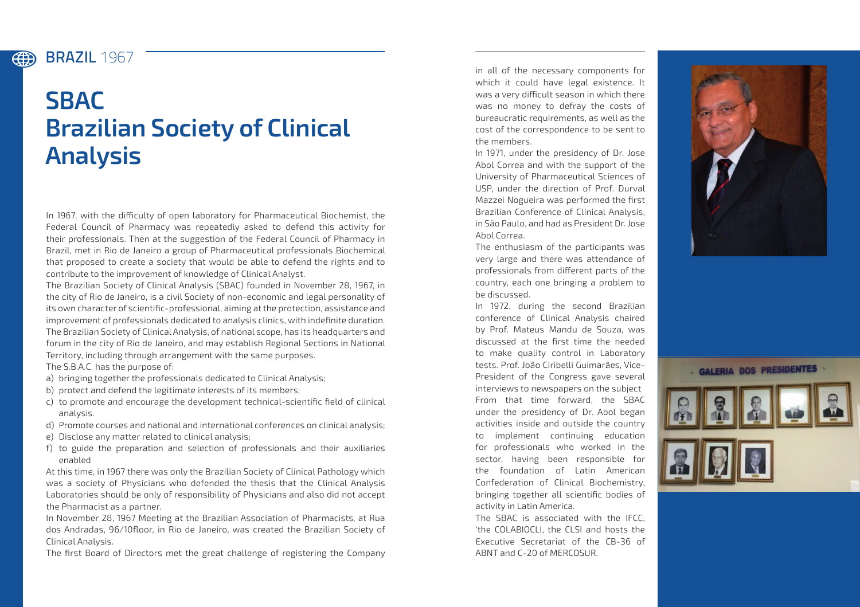## BRAZIL **1967**

(#)

## **SBAC Brazilian Society of Clinical Analysis**

In 1967, with the difficulty of open laboratory for Pharmaceutical Biochemist, the Federal Council of Pharmacy was repeatedly asked to defend this activity for their professionals. Then at the suggestion of the Federal Council of Pharmacy in Brazil, met in Rio de Janeiro a group of Pharmaceutical professionals Biochemical that proposed to create a society that would be able to defend the rights and to contribute to the improvement of knowledge of Clinical Analyst.

The Brazilian Society of Clinical Analysis (SBAC) founded in November 28, 1967, in the city of Rio de Janeiro, is a civil Society of non-economic and legal personality of its own character of scientific-professional, aiming at the protection, assistance and improvement of professionals dedicated to analysis clinics, with indefinite duration. The Brazilian Society of Clinical Analysis, of national scope, has its headquarters and forum in the city of Rio de Janeiro, and may establish Regional Sections in National Territory, including through arrangement with the same purposes.

The S.B.A.C. has the purpose of:

- a) bringing together the professionals dedicated to Clinical Analysis;
- b) protect and defend the legitimate interests of its members;
- c) to promote and encourage the development technical-scientific field of clinical analysis.
- d) Promote courses and national and international conferences on clinical analysis;
- e) Disclose any matter related to clinical analysis;
- f) to guide the preparation and selection of professionals and their auxiliaries enabled

At this time, in 1967 there was only the Brazilian Society of Clinical Pathology which was a society of Physicians who defended the thesis that the Clinical Analysis Laboratories should be only of responsibility of Physicians and also did not accept the Pharmacist as a partner.

In November 28, 1967 Meeting at the Brazilian Association of Pharmacists, at Rua dos Andradas, 96/10floor, in Rio de Janeiro, was created the Brazilian Society of Clinical Analysis.

The first Board of Directors met the great challenge of registering the Company

in all of the necessary components for which it could have legal existence. It was a very difficult season in which there was no money to defray the costs of bureaucratic requirements, as well as the cost of the correspondence to be sent to the members.

In 1971, under the presidency of Dr. Jose Abol Correa and with the support of the University of Pharmaceutical Sciences of USP, under the direction of Prof. Durval Mazzei Nogueira was performed the first Brazilian Conference of Clinical Analysis, in São Paulo, and had as President Dr. Jose Abol Correa.

The enthusiasm of the participants was very large and there was attendance of professionals from different parts of the country, each one bringing a problem to be discussed.

In 1972, during the second Brazilian conference of Clinical Analysis chaired by Prof. Mateus Mandu de Souza, was discussed at the first time the needed to make quality control in Laboratory tests. Prof. João Ciribelli Guimarães, Vice-President of the Congress gave several interviews to newspapers on the subject From that time forward, the SBAC under the presidency of Dr. Abol began activities inside and outside the country to implement continuing education for professionals who worked in the sector, having been responsible for the foundation of Latin American Confederation of Clinical Biochemistry, bringing together all scientific bodies of activity in Latin America.

The SBAC is associated with the IFCC, 'the COLABIOCLI, the CLSI and hosts the Executive Secretariat of the CB-36 of ABNT and C-20 of MERCOSUR.